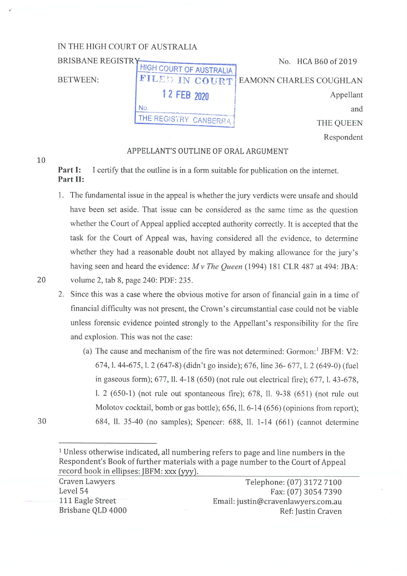| IN THE HIGH COURT OF AUSTRALIA |                         |                          |
|--------------------------------|-------------------------|--------------------------|
| No. HCA B60 of 2019            |                         | <b>BRISBANE REGISTRY</b> |
|                                | HIGH COURT OF AUSTRALIA |                          |
| EAMONN CHARLES COUGHLAN        | FILED IN COURT!         | <b>BETWEEN:</b>          |
| Appellant                      | 1 2 FEB 2020            |                          |
| and                            | Nο                      |                          |
| THE QUEEN                      | THE REGISTRY CANBERRA   |                          |
| Respondent                     |                         |                          |

## APPELLANT'S OUTLINE OF ORAL ARGUMENT

**Part I:** I certify that the outline is in a form suitable for publication on the internet. **Part II:** 

- 1. The fundamental issue in the appeal is whether the jury verdicts were unsafe and should have been set aside. That issue can be considered as the same time as the question whether the Court of Appeal applied accepted authority correctly. It is accepted that the task for the Court of Appeal was, having considered all the evidence, to determine whether they had a reasonable doubt not allayed by making allowance for the jury's having seen and heard the evidence: *Mv The Queen* (1994) 181 CLR 487 at 494: JBA: 20 volume 2, tab 8, page 240: PDF: 235 .
	- 2. Since this was a case where the obvious motive for arson of financial gain in a time of financial difficulty was not present, the Crown's circumstantial case could not be viable unless forensic evidence pointed strongly to the Appellant's responsibility for the fire and explosion. This was not the case:
		- (a) The cause and mechanism of the fire was not determined:  $Gormon:$ <sup>1</sup> JBFM: V2: 674, 1. 44-675, 1. 2 (647-8) (didn't go inside); 676, line 36- 677, 1. 2 (649-0) (fuel in gaseous form); 677, 11. 4-18 (650) (not rule out electrical fire); 677, 1. 43-678, l. 2 (650-1) (not rule out spontaneous fire); 678, 11. 9-38 (651) (not rule out Molotov cocktail, bomb or gas bottle); 656, ll. 6-14 (656) (opinions from report); 684, 11. 35-40 (no samples); Spencer: 688, 11. 1-14 (661) (cannot determine

Craven Lawyers Level 54 111 Eagle Street Brisbane QLD 4000

Telephone: (07) 3172 7100 Fax: (07) 3054 7390 Email: justin@cravenlawyers.com.au Ref: Justin Craven

30

10

<sup>1</sup>Unless otherwise indicated, all numbering refers to page and line numbers in the Respondent's Book of further materials with a page number to the Court of Appeal record book in ellipses: JBFM: xxx (yyy).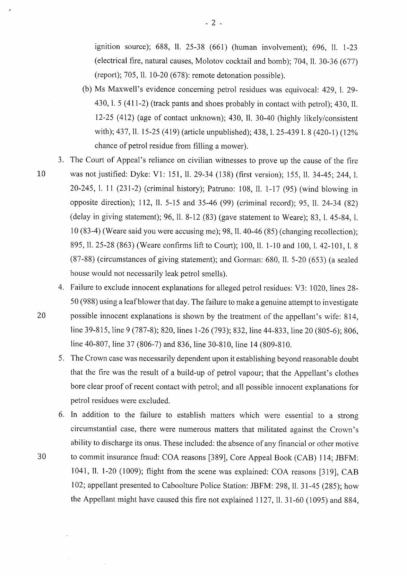ignition source); 688, 11. 25-38 (661) (human involvement); 696, 11. 1-23 (electrical fire, natural causes, Molotov cocktail and bomb); 704, 11. 30-36 (677) (report); 705, 11. 10-20 (678): remote detonation possible).

- (b) Ms Maxwell's evidence concerning petrol residues was equivocal: 429, 1. 29- 430, 1. 5 (411-2) (track pants and shoes probably in contact with petrol); 430, 11. 12-25 (412) (age of contact unknown); 430, 11. 30-40 (highly likely/consistent with); 437, 11. 15-25 (419) (article unpublished); 438, 1. 25-4391. 8 (420-1) (12% chance of petrol residue from filling a mower).
- 3. The Court of Appeal's reliance on civilian witnesses to prove up the cause of the fire
- 
- 10 was not justified: Dyke: Vl: 151, 11. 29-34 (138) (first version); 155, 11. 34-45; 244, I. 20-245, I. 11 (231-2) (criminal history); Patruno: 108, 11. 1-17 (95) (wind blowing in opposite direction); 112, ll. 5-15 and 35-46 (99) (criminal record); 95, ll. 24-34 (82) (delay in giving statement); 96, IL 8-12 (83) (gave statement to Weare); 83, 1. 45-84, I. IO (83-4) (Weare said you were accusing me); 98, 11. 40-46 (85) ( changing recollection); 895, 11. 25-28 (863) (Weare confirms lift to Court); 100, 11. 1-10 and 100, 1. 42-101, I. 8 (87-88) (circumstances of giving statement); and Gorman: 680, 11. 5-20 (653) (a sealed house would not necessarily leak petrol smells).

4. Failure to exclude innocent explanations for alleged petrol residues: V3: 1020, lines 28- 50 (988) using a leaf blower that day. The failure to make a genuine attempt to investigate

- 20 possible innocent explanations is shown by the treatment of the appellant's wife: 814, line 39-815, line 9 (787-8); 820, lines 1-26 (793); 832, line 44-833, line 20 (805-6); 806, line 40-807, line 37 (806-7) and 836, line 30-810, line 14 (809-810.
	- 5. The Crown case was necessarily dependent upon it establishing beyond reasonable doubt that the fire was the result of a build-up of petrol vapour; that the Appellant's clothes bore clear proof of recent contact with petrol; and all possible innocent explanations for petrol residues were excluded.
- 6. In addition to the failure to establish matters which were essential to a strong circumstantial case, there were numerous matters that militated against the Crown's ability to discharge its onus. These included: the absence of any financial or other motive 30 to commit insurance fraud: COA reasons [389], Core Appeal Book (CAB) 114; JBFM: 1041, 11. 1-20 (1009); flight from the scene was explained: COA reasons [319], CAB 102; appellant presented to Caboolture Police Station: JBFM: 298, 11. 31-45 (285); how the Appellant might have caused this fire not explained 1127, ll. 31-60 (1095) and 884,